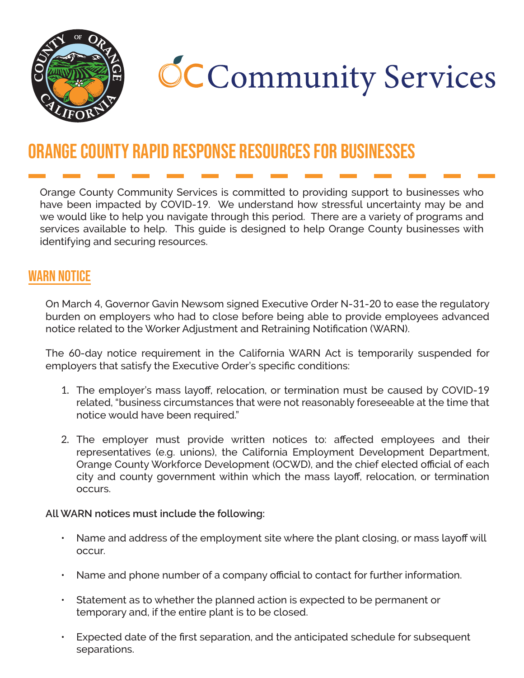

# **CCCommunity Services**

## Orange County Rapid Response Resources for Businesses

Orange County Community Services is committed to providing support to businesses who have been impacted by COVID-19. We understand how stressful uncertainty may be and we would like to help you navigate through this period. There are a variety of programs and services available to help. This guide is designed to help Orange County businesses with identifying and securing resources.

## WARN NOTICE

On March 4, Governor Gavin Newsom signed Executive Order N-31-20 to ease the regulatory burden on employers who had to close before being able to provide employees advanced notice related to the Worker Adjustment and Retraining Notification (WARN).

The 60-day notice requirement in the California WARN Act is temporarily suspended for employers that satisfy the Executive Order's specific conditions:

- 1. The employer's mass layoff, relocation, or termination must be caused by COVID-19 related, "business circumstances that were not reasonably foreseeable at the time that notice would have been required."
- 2. The employer must provide written notices to: affected employees and their representatives (e.g. unions), the California Employment Development Department, Orange County Workforce Development (OCWD), and the chief elected official of each city and county government within which the mass layoff, relocation, or termination occurs.

**All WARN notices must include the following:**

- Name and address of the employment site where the plant closing, or mass layoff will occur.
- Name and phone number of a company official to contact for further information.
- Statement as to whether the planned action is expected to be permanent or temporary and, if the entire plant is to be closed.
- Expected date of the first separation, and the anticipated schedule for subsequent separations.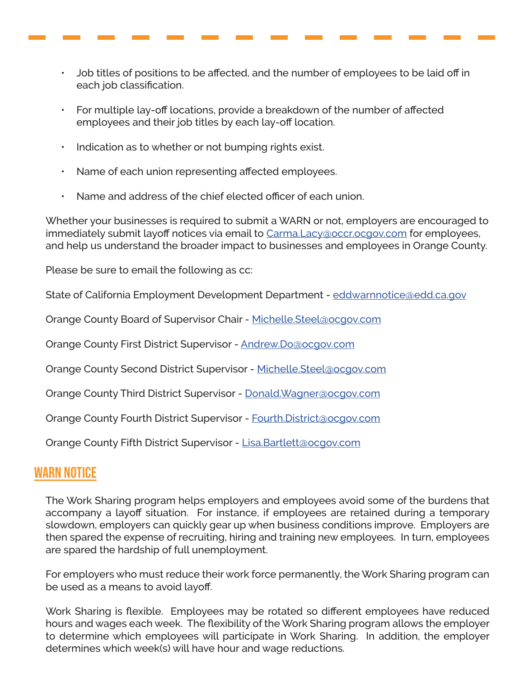- Job titles of positions to be affected, and the number of employees to be laid off in each job classification.
- For multiple lay-off locations, provide a breakdown of the number of affected employees and their job titles by each lay-off location.
- Indication as to whether or not bumping rights exist.
- Name of each union representing affected employees.
- Name and address of the chief elected officer of each union.

Whether your businesses is required to submit a WARN or not, employers are encouraged to immediately submit layoff notices via email to [Carma.Lacy@occr.ocgov.com](mailto:Carma.Lacy%40occr.ocgov.com?subject=Layoff%20Notice) for employees, and help us understand the broader impact to businesses and employees in Orange County.

Please be sure to email the following as cc:

State of California Employment Development Department - [eddwarnnotice@edd.ca.gov](mailto:eddwarnnotice%40edd.ca.gov?subject=)

Orange County Board of Supervisor Chair - [Michelle.Steel@ocgov.com](mailto:Michelle.Steel%40ocgov.com?subject=)

Orange County First District Supervisor - [Andrew.Do@ocgov.com](mailto:Andrew.Do%40ocgov.com?subject=)

Orange County Second District Supervisor - [Michelle.Steel@ocgov.com](mailto:Michelle.Steel%40ocgov.com?subject=)

Orange County Third District Supervisor - Donald. Wagner@ocgov.com

Orange County Fourth District Supervisor - [Fourth.District@ocgov.com](mailto:Fourth.District%40ocgov.com?subject=)

Orange County Fifth District Supervisor - [Lisa.Bartlett@ocgov.com](mailto:Lisa.Bartlett%40ocgov.com?subject=)

#### WARN NOTICE

The Work Sharing program helps employers and employees avoid some of the burdens that accompany a layoff situation. For instance, if employees are retained during a temporary slowdown, employers can quickly gear up when business conditions improve. Employers are then spared the expense of recruiting, hiring and training new employees. In turn, employees are spared the hardship of full unemployment.

For employers who must reduce their work force permanently, the Work Sharing program can be used as a means to avoid layoff.

Work Sharing is flexible. Employees may be rotated so different employees have reduced hours and wages each week. The flexibility of the Work Sharing program allows the employer to determine which employees will participate in Work Sharing. In addition, the employer determines which week(s) will have hour and wage reductions.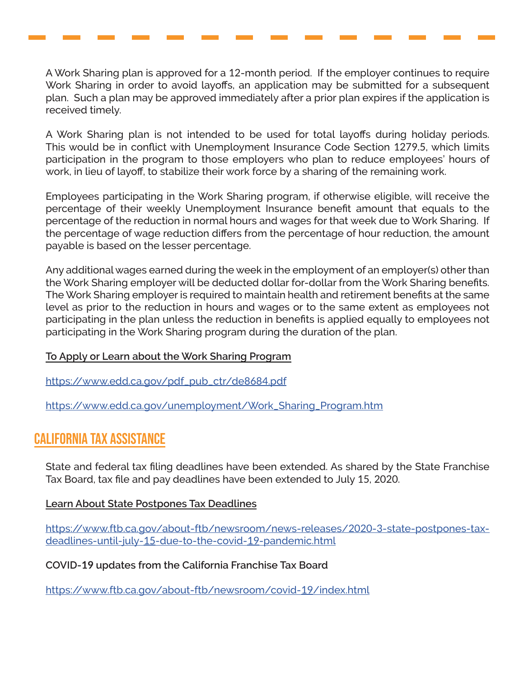A Work Sharing plan is approved for a 12-month period. If the employer continues to require Work Sharing in order to avoid layoffs, an application may be submitted for a subsequent plan. Such a plan may be approved immediately after a prior plan expires if the application is received timely.

A Work Sharing plan is not intended to be used for total layoffs during holiday periods. This would be in conflict with Unemployment Insurance Code Section 1279.5, which limits participation in the program to those employers who plan to reduce employees' hours of work, in lieu of layoff, to stabilize their work force by a sharing of the remaining work.

Employees participating in the Work Sharing program, if otherwise eligible, will receive the percentage of their weekly Unemployment Insurance benefit amount that equals to the percentage of the reduction in normal hours and wages for that week due to Work Sharing. If the percentage of wage reduction differs from the percentage of hour reduction, the amount payable is based on the lesser percentage.

Any additional wages earned during the week in the employment of an employer(s) other than the Work Sharing employer will be deducted dollar for-dollar from the Work Sharing benefits. The Work Sharing employer is required to maintain health and retirement benefits at the same level as prior to the reduction in hours and wages or to the same extent as employees not participating in the plan unless the reduction in benefits is applied equally to employees not participating in the Work Sharing program during the duration of the plan.

#### **To Apply or Learn about the Work Sharing Program**

[https://www.edd.ca.gov/pdf\\_pub\\_ctr/de](https://www.edd.ca.gov/pdf_pub_ctr/de8684.pdf)8684.pdf

[https://www.edd.ca.gov/unemployment/Work\\_Sharing\\_Program.htm](https://www.edd.ca.gov/unemployment/Work_Sharing_Program.htm)

### California Tax Assistance

State and federal tax filing deadlines have been extended. As shared by the State Franchise Tax Board, tax file and pay deadlines have been extended to July 15, 2020.

#### **Learn About State Postpones Tax Deadlines**

[https://www.ftb.ca.gov/about-ftb/newsroom/news-releases/](https://www.ftb.ca.gov/about-ftb/newsroom/news-releases/2020-3-state-postpones-tax-deadlines-until-j)2020-3-state-postpones-tax[deadlines-until-july-](https://www.ftb.ca.gov/about-ftb/newsroom/news-releases/2020-3-state-postpones-tax-deadlines-until-j)15-due-to-the-covid-19-pandemic.html

**COVID-19 updates from the California Franchise Tax Board**

[https://www.ftb.ca.gov/about-ftb/newsroom/covid-](https://www.ftb.ca.gov/about-ftb/newsroom/covid-19/index.html)19/index.html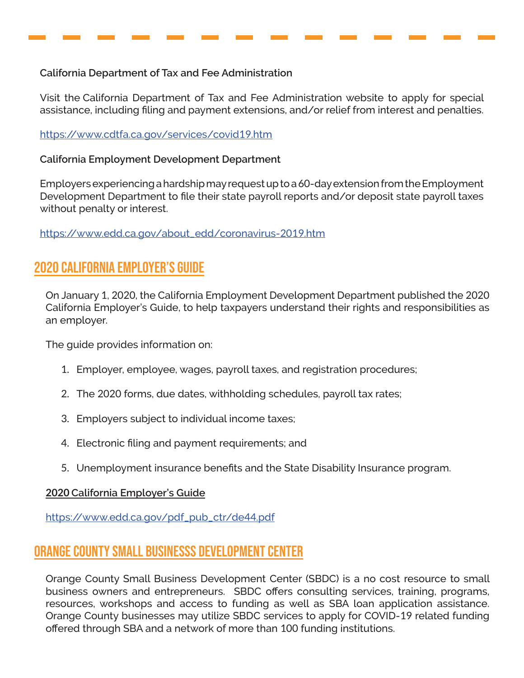#### **California Department of Tax and Fee Administration**

Visit the California Department of Tax and Fee Administration website to apply for special assistance, including filing and payment extensions, and/or relief from interest and penalties.

#### [https://www.cdtfa.ca.gov/services/covid](https://www.cdtfa.ca.gov/services/covid19.htm)19.htm

#### **California Employment Development Department**

Employers experiencing a hardship may request up to a 60-day extension from the Employment Development Department to file their state payroll reports and/or deposit state payroll taxes without penalty or interest.

[https://www.edd.ca.gov/about\\_edd/coronavirus-](https://www.edd.ca.gov/about_edd/coronavirus-2019.htm)2019.htm

## 2020 California Employer's Guide

On January 1, 2020, the California Employment Development Department published the 2020 California Employer's Guide, to help taxpayers understand their rights and responsibilities as an employer.

The guide provides information on:

- 1. Employer, employee, wages, payroll taxes, and registration procedures;
- 2. The 2020 forms, due dates, withholding schedules, payroll tax rates;
- 3. Employers subject to individual income taxes;
- 4. Electronic filing and payment requirements; and
- 5. Unemployment insurance benefits and the State Disability Insurance program.

#### **2020 California Employer's Guide**

[https://www.edd.ca.gov/pdf\\_pub\\_ctr/de](https://www.edd.ca.gov/pdf_pub_ctr/de44.pdf)44.pdf

## Orange county Small Businesss Development Center

Orange County Small Business Development Center (SBDC) is a no cost resource to small business owners and entrepreneurs. SBDC offers consulting services, training, programs, resources, workshops and access to funding as well as SBA loan application assistance. Orange County businesses may utilize SBDC services to apply for COVID-19 related funding offered through SBA and a network of more than 100 funding institutions.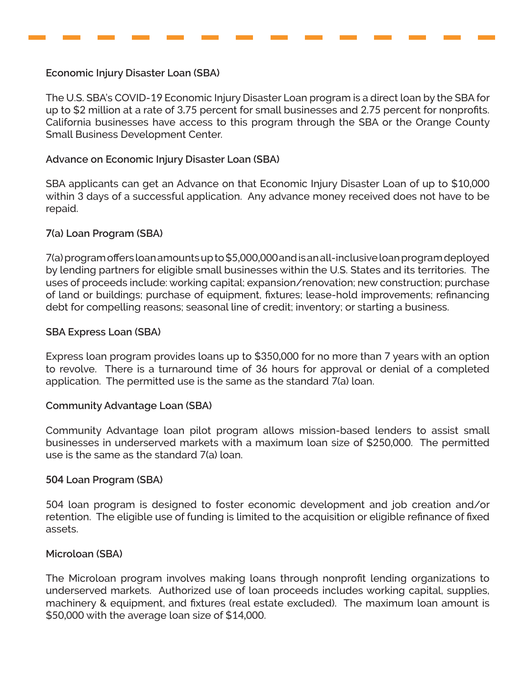**Economic Injury Disaster Loan (SBA)**

The U.S. SBA's COVID-19 Economic Injury Disaster Loan program is a direct loan by the SBA for up to \$2 million at a rate of 3.75 percent for small businesses and 2.75 percent for nonprofits. California businesses have access to this program through the SBA or the Orange County Small Business Development Center.

#### **Advance on Economic Injury Disaster Loan (SBA)**

SBA applicants can get an Advance on that Economic Injury Disaster Loan of up to \$10,000 within 3 days of a successful application. Any advance money received does not have to be repaid.

#### **7(a) Loan Program (SBA)**

7(a) program offers loan amounts up to \$5,000,000 and is an all-inclusive loan program deployed by lending partners for eligible small businesses within the U.S. States and its territories. The uses of proceeds include: working capital; expansion/renovation; new construction; purchase of land or buildings; purchase of equipment, fixtures; lease-hold improvements; refinancing debt for compelling reasons; seasonal line of credit; inventory; or starting a business.

#### **SBA Express Loan (SBA)**

Express loan program provides loans up to \$350,000 for no more than 7 years with an option to revolve. There is a turnaround time of 36 hours for approval or denial of a completed application. The permitted use is the same as the standard 7(a) loan.

#### **Community Advantage Loan (SBA)**

Community Advantage loan pilot program allows mission-based lenders to assist small businesses in underserved markets with a maximum loan size of \$250,000. The permitted use is the same as the standard 7(a) loan.

#### **504 Loan Program (SBA)**

504 loan program is designed to foster economic development and job creation and/or retention. The eligible use of funding is limited to the acquisition or eligible refinance of fixed assets.

#### **Microloan (SBA)**

The Microloan program involves making loans through nonprofit lending organizations to underserved markets. Authorized use of loan proceeds includes working capital, supplies, machinery & equipment, and fixtures (real estate excluded). The maximum loan amount is \$50,000 with the average loan size of \$14,000.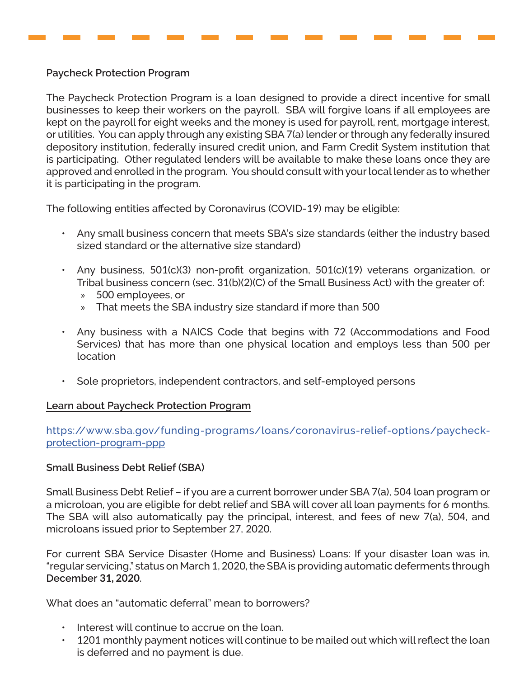#### **Paycheck Protection Program**

The Paycheck Protection Program is a loan designed to provide a direct incentive for small businesses to keep their workers on the payroll. SBA will forgive loans if all employees are kept on the payroll for eight weeks and the money is used for payroll, rent, mortgage interest, or utilities. You can apply through any existing SBA 7(a) lender or through any federally insured depository institution, federally insured credit union, and Farm Credit System institution that is participating. Other regulated lenders will be available to make these loans once they are approved and enrolled in the program. You should consult with your local lender as to whether it is participating in the program.

The following entities affected by Coronavirus (COVID-19) may be eligible:

- Any small business concern that meets SBA's size standards (either the industry based sized standard or the alternative size standard)
- Any business, 501(c)(3) non-profit organization, 501(c)(19) veterans organization, or Tribal business concern (sec. 31(b)(2)(C) of the Small Business Act) with the greater of:
	- » 500 employees, or
	- » That meets the SBA industry size standard if more than 500
- Any business with a NAICS Code that begins with 72 (Accommodations and Food Services) that has more than one physical location and employs less than 500 per location
- Sole proprietors, independent contractors, and self-employed persons

#### **Learn about Paycheck Protection Program**

[https://www.sba.gov/funding-programs/loans/coronavirus-relief-options/paycheck](https://www.sba.gov/funding-programs/loans/coronavirus-relief-options/paycheck-protection-program-pp)[protection-program-ppp](https://www.sba.gov/funding-programs/loans/coronavirus-relief-options/paycheck-protection-program-pp)

#### **Small Business Debt Relief (SBA)**

Small Business Debt Relief – if you are a current borrower under SBA 7(a), 504 loan program or a microloan, you are eligible for debt relief and SBA will cover all loan payments for 6 months. The SBA will also automatically pay the principal, interest, and fees of new 7(a), 504, and microloans issued prior to September 27, 2020.

For current SBA Service Disaster (Home and Business) Loans: If your disaster loan was in, "regular servicing," status on March 1, 2020, the SBA is providing automatic deferments through **December 31, 2020**.

What does an "automatic deferral" mean to borrowers?

- Interest will continue to accrue on the loan.
- 1201 monthly payment notices will continue to be mailed out which will reflect the loan is deferred and no payment is due.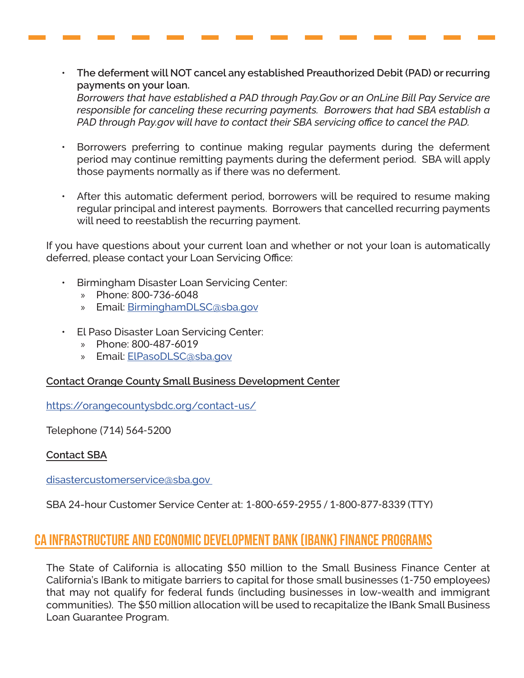• **The deferment will NOT cancel any established Preauthorized Debit (PAD) or recurring payments on your loan.**

*Borrowers that have established a PAD through Pay.Gov or an OnLine Bill Pay Service are responsible for canceling these recurring payments. Borrowers that had SBA establish a PAD through Pay.gov will have to contact their SBA servicing office to cancel the PAD.*

- Borrowers preferring to continue making regular payments during the deferment period may continue remitting payments during the deferment period. SBA will apply those payments normally as if there was no deferment.
- After this automatic deferment period, borrowers will be required to resume making regular principal and interest payments. Borrowers that cancelled recurring payments will need to reestablish the recurring payment.

If you have questions about your current loan and whether or not your loan is automatically deferred, please contact your Loan Servicing Office:

- Birmingham Disaster Loan Servicing Center:
	- » Phone: 800-736-6048
	- » Email: [BirminghamDLSC@sba.gov](mailto:BirminghamDLSC%40sba.gov?subject=)
- El Paso Disaster Loan Servicing Center:
	- » Phone: 800-487-6019
	- » Email: [ElPasoDLSC@sba.gov](mailto:ElPasoDLSC%40sba.gov?subject=)

#### **Contact Orange County Small Business Development Center**

<https://orangecountysbdc.org/contact-us/>

Telephone (714) 564-5200

#### **Contact SBA**

[disastercustomerservice@sba.gov](mailto:disastercustomerservice%40sba.gov%20?subject=) 

SBA 24-hour Customer Service Center at: 1-800-659-2955 / 1-800-877-8339 (TTY)

## CA Infrastructure and Economic Development Bank (IBank) Finance Programs

The State of California is allocating \$50 million to the Small Business Finance Center at California's IBank to mitigate barriers to capital for those small businesses (1-750 employees) that may not qualify for federal funds (including businesses in low-wealth and immigrant communities). The \$50 million allocation will be used to recapitalize the IBank Small Business Loan Guarantee Program.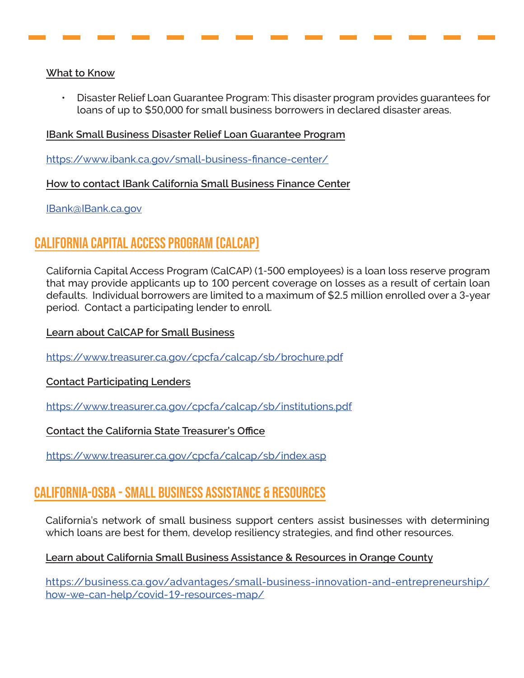#### **What to Know**

• Disaster Relief Loan Guarantee Program: This disaster program provides guarantees for loans of up to \$50,000 for small business borrowers in declared disaster areas.

#### **IBank Small Business Disaster Relief Loan Guarantee Program**

<https://www.ibank.ca.gov/small-business-finance-center/>

**How to contact IBank California Small Business Finance Center**

[IBank@IBank.ca.gov](mailto:IBank%40IBank.ca.gov%20?subject=)

## California Capital Access Program (CalCAP)

California Capital Access Program (CalCAP) (1-500 employees) is a loan loss reserve program that may provide applicants up to 100 percent coverage on losses as a result of certain loan defaults. Individual borrowers are limited to a maximum of \$2.5 million enrolled over a 3-year period. Contact a participating lender to enroll.

**Learn about CalCAP for Small Business**

[https://www.treasurer.ca.gov/cpcfa/calcap/sb/brochure.pdf](https://www.treasurer.ca.gov/cpcfa/calcap/sb/brochure.pdf )

**Contact Participating Lenders**

[https://www.treasurer.ca.gov/cpcfa/calcap/sb/institutions.pdf](https://www.treasurer.ca.gov/cpcfa/calcap/sb/institutions.pdf )

**Contact the California State Treasurer's Office**

[https://www.treasurer.ca.gov/cpcfa/calcap/sb/index.asp](https://www.treasurer.ca.gov/cpcfa/calcap/sb/index.asp )

## California-OSBA - Small Business Assistance & Resources

California's network of small business support centers assist businesses with determining which loans are best for them, develop resiliency strategies, and find other resources.

#### **Learn about California Small Business Assistance & Resources in Orange County**

[https://business.ca.gov/advantages/small-business-innovation-and-entrepreneurship/](https://business.ca.gov/advantages/small-business-innovation-and-entrepreneurship/how-we-can-help/co) [how-we-can-help/covid-](https://business.ca.gov/advantages/small-business-innovation-and-entrepreneurship/how-we-can-help/co)19-resources-map/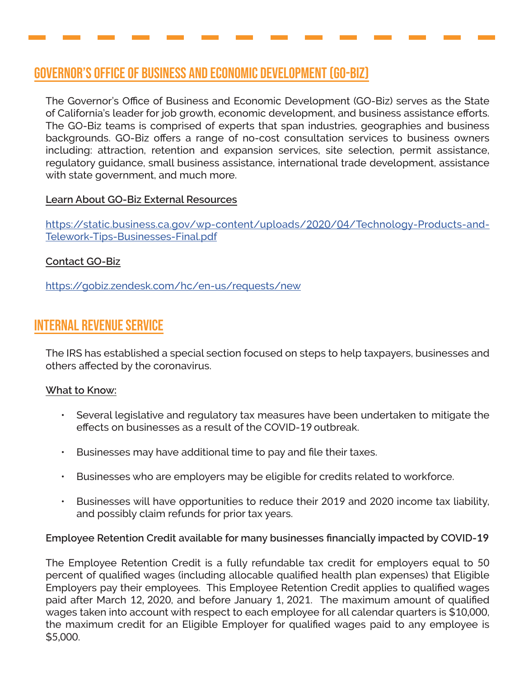## Governor's Office of Business and Economic Development (GO-Biz)

The Governor's Office of Business and Economic Development (GO-Biz) serves as the State of California's leader for job growth, economic development, and business assistance efforts. The GO-Biz teams is comprised of experts that span industries, geographies and business backgrounds. GO-Biz offers a range of no-cost consultation services to business owners including: attraction, retention and expansion services, site selection, permit assistance, regulatory guidance, small business assistance, international trade development, assistance with state government, and much more.

#### **Learn About GO-Biz External Resources**

[https://static.business.ca.gov/wp-content/uploads/](https://static.business.ca.gov/wp-content/uploads/2020/04/Technology-Products-and-Telework-Tips-Busi)2020/04/Technology-Products-and-[Telework-Tips-Businesses-Final.pdf](https://static.business.ca.gov/wp-content/uploads/2020/04/Technology-Products-and-Telework-Tips-Busi)

#### **Contact GO-Biz**

<https://gobiz.zendesk.com/hc/en-us/requests/new>

## Internal Revenue Service

The IRS has established a special section focused on steps to help taxpayers, businesses and others affected by the coronavirus.

#### **What to Know:**

- Several legislative and regulatory tax measures have been undertaken to mitigate the effects on businesses as a result of the COVID-19 outbreak.
- Businesses may have additional time to pay and file their taxes.
- Businesses who are employers may be eligible for credits related to workforce.
- Businesses will have opportunities to reduce their 2019 and 2020 income tax liability, and possibly claim refunds for prior tax years.

#### **Employee Retention Credit available for many businesses financially impacted by COVID-19**

The Employee Retention Credit is a fully refundable tax credit for employers equal to 50 percent of qualified wages (including allocable qualified health plan expenses) that Eligible Employers pay their employees. This Employee Retention Credit applies to qualified wages paid after March 12, 2020, and before January 1, 2021. The maximum amount of qualified wages taken into account with respect to each employee for all calendar quarters is \$10,000, the maximum credit for an Eligible Employer for qualified wages paid to any employee is \$5,000.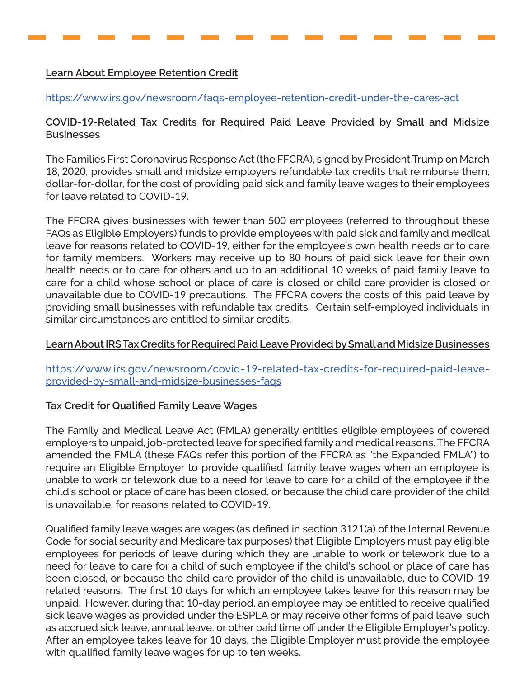#### **Learn About Employee Retention Credit**

[https://www.irs.gov/newsroom/faqs-employee-retention-credit-under-the-cares-act](https://www.irs.gov/newsroom/faqs-employee-retention-credit-under-the-cares-act )

#### **COVID-19-Related Tax Credits for Required Paid Leave Provided by Small and Midsize Businesses**

The Families First Coronavirus Response Act (the FFCRA), signed by President Trump on March 18, 2020, provides small and midsize employers refundable tax credits that reimburse them, dollar-for-dollar, for the cost of providing paid sick and family leave wages to their employees for leave related to COVID-19.

The FFCRA gives businesses with fewer than 500 employees (referred to throughout these FAQs as Eligible Employers) funds to provide employees with paid sick and family and medical leave for reasons related to COVID-19, either for the employee's own health needs or to care for family members. Workers may receive up to 80 hours of paid sick leave for their own health needs or to care for others and up to an additional 10 weeks of paid family leave to care for a child whose school or place of care is closed or child care provider is closed or unavailable due to COVID-19 precautions. The FFCRA covers the costs of this paid leave by providing small businesses with refundable tax credits. Certain self-employed individuals in similar circumstances are entitled to similar credits.

#### **Learn About IRS Tax Credits for Required Paid Leave Provided by Small and Midsize Businesses**

https://www.irs.gov/newsroom/covid-19[-related-tax-credits-for-required-paid-leave](https://www.irs.gov/newsroom/covid-19-related-tax-credits-for-required-paid-leave-provided-by-small-)[provided-by-small-and-midsize-businesses-faqs](https://www.irs.gov/newsroom/covid-19-related-tax-credits-for-required-paid-leave-provided-by-small-)

#### **Tax Credit for Qualified Family Leave Wages**

The Family and Medical Leave Act (FMLA) generally entitles eligible employees of covered employers to unpaid, job-protected leave for specified family and medical reasons. The FFCRA amended the FMLA (these FAQs refer this portion of the FFCRA as "the Expanded FMLA") to require an Eligible Employer to provide qualified family leave wages when an employee is unable to work or telework due to a need for leave to care for a child of the employee if the child's school or place of care has been closed, or because the child care provider of the child is unavailable, for reasons related to COVID-19.

Qualified family leave wages are wages (as defined in section 3121(a) of the Internal Revenue Code for social security and Medicare tax purposes) that Eligible Employers must pay eligible employees for periods of leave during which they are unable to work or telework due to a need for leave to care for a child of such employee if the child's school or place of care has been closed, or because the child care provider of the child is unavailable, due to COVID-19 related reasons. The first 10 days for which an employee takes leave for this reason may be unpaid. However, during that 10-day period, an employee may be entitled to receive qualified sick leave wages as provided under the ESPLA or may receive other forms of paid leave, such as accrued sick leave, annual leave, or other paid time off under the Eligible Employer's policy. After an employee takes leave for 10 days, the Eligible Employer must provide the employee with qualified family leave wages for up to ten weeks.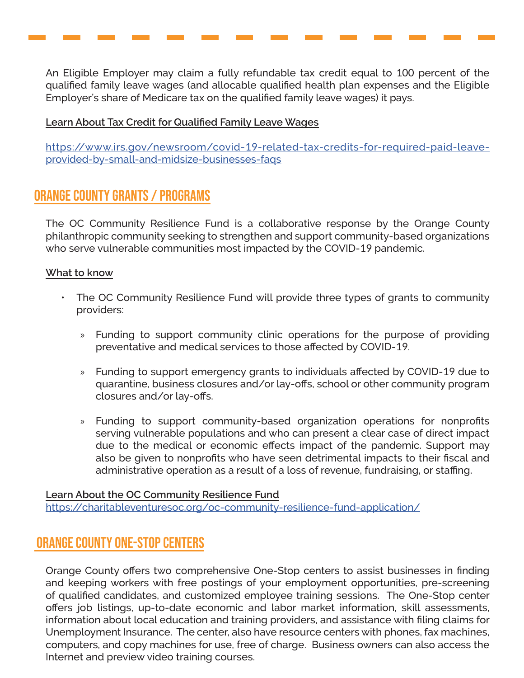An Eligible Employer may claim a fully refundable tax credit equal to 100 percent of the qualified family leave wages (and allocable qualified health plan expenses and the Eligible Employer's share of Medicare tax on the qualified family leave wages) it pays.

#### **Learn About Tax Credit for Qualified Family Leave Wages**

https://www.irs.gov/newsroom/covid-19[-related-tax-credits-for-required-paid-leave](https://www.irs.gov/newsroom/covid-19-related-tax-credits-for-required-paid-leave-provided-by-small-)[provided-by-small-and-midsize-businesses-faqs](https://www.irs.gov/newsroom/covid-19-related-tax-credits-for-required-paid-leave-provided-by-small-)

## Orange County Grants / Programs

The OC Community Resilience Fund is a collaborative response by the Orange County philanthropic community seeking to strengthen and support community-based organizations who serve vulnerable communities most impacted by the COVID-19 pandemic.

#### **What to know**

- The OC Community Resilience Fund will provide three types of grants to community providers:
	- » Funding to support community clinic operations for the purpose of providing preventative and medical services to those affected by COVID-19.
	- » Funding to support emergency grants to individuals affected by COVID-19 due to quarantine, business closures and/or lay-offs, school or other community program closures and/or lay-offs.
	- » Funding to support community-based organization operations for nonprofits serving vulnerable populations and who can present a clear case of direct impact due to the medical or economic effects impact of the pandemic. Support may also be given to nonprofits who have seen detrimental impacts to their fiscal and administrative operation as a result of a loss of revenue, fundraising, or staffing.

**Learn About the OC Community Resilience Fund** [https://charitableventuresoc.org/oc-community-resilience-fund-application/](https://charitableventuresoc.org/oc-community-resilience-fund-application/ )

## Orange County One-Stop Centers

Orange County offers two comprehensive One-Stop centers to assist businesses in finding and keeping workers with free postings of your employment opportunities, pre-screening of qualified candidates, and customized employee training sessions. The One-Stop center offers job listings, up-to-date economic and labor market information, skill assessments, information about local education and training providers, and assistance with filing claims for Unemployment Insurance. The center, also have resource centers with phones, fax machines, computers, and copy machines for use, free of charge. Business owners can also access the Internet and preview video training courses.